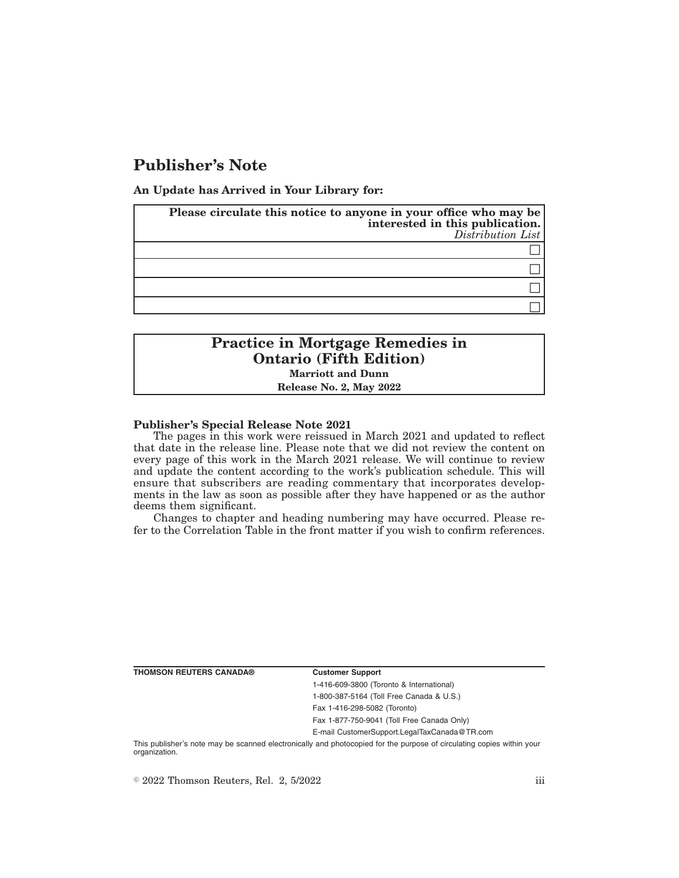# **Publisher's Note**

**An Update has Arrived in Your Library for:**

| Please circulate this notice to anyone in your office who may be<br>interested in this publication.<br>Distribution List |
|--------------------------------------------------------------------------------------------------------------------------|
|                                                                                                                          |
|                                                                                                                          |
|                                                                                                                          |
|                                                                                                                          |

## **Practice in Mortgage Remedies in Ontario (Fifth Edition) Marriott and Dunn Release No. 2, May 2022**

#### **Publisher's Special Release Note 2021**

The pages in this work were reissued in March 2021 and updated to reflect that date in the release line. Please note that we did not review the content on every page of this work in the March 2021 release. We will continue to review and update the content according to the work's publication schedule. This will ensure that subscribers are reading commentary that incorporates developments in the law as soon as possible after they have happened or as the author deems them significant.

Changes to chapter and heading numbering may have occurred. Please refer to the Correlation Table in the front matter if you wish to confirm references.

**THOMSON REUTERS CANADA® Customer Support**

1-416-609-3800 (Toronto & International) 1-800-387-5164 (Toll Free Canada & U.S.) Fax 1-416-298-5082 (Toronto)

Fax 1-877-750-9041 (Toll Free Canada Only)

E-mail CustomerSupport.LegalTaxCanada@TR.com

This publisher's note may be scanned electronically and photocopied for the purpose of circulating copies within your organization.

 $\degree$  2022 Thomson Reuters, Rel. 2, 5/2022 iii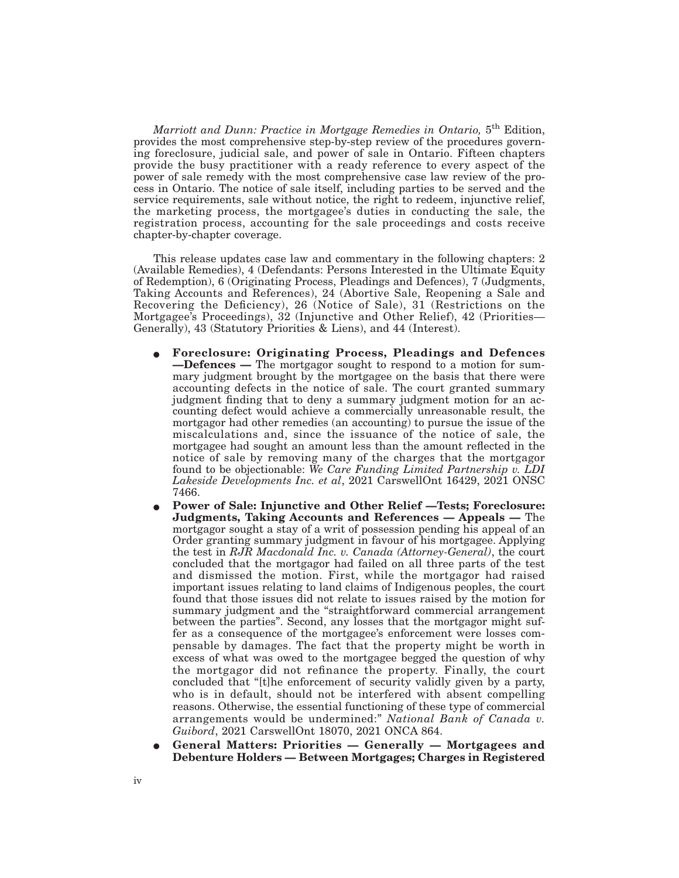*Marriott and Dunn: Practice in Mortgage Remedies in Ontario,* 5<sup>th</sup> Edition, provides the most comprehensive step-by-step review of the procedures governing foreclosure, judicial sale, and power of sale in Ontario. Fifteen chapters provide the busy practitioner with a ready reference to every aspect of the power of sale remedy with the most comprehensive case law review of the process in Ontario. The notice of sale itself, including parties to be served and the service requirements, sale without notice, the right to redeem, injunctive relief, the marketing process, the mortgagee's duties in conducting the sale, the registration process, accounting for the sale proceedings and costs receive chapter-by-chapter coverage.

This release updates case law and commentary in the following chapters: 2 (Available Remedies), 4 (Defendants: Persons Interested in the Ultimate Equity of Redemption), 6 (Originating Process, Pleadings and Defences), 7 (Judgments, Taking Accounts and References), 24 (Abortive Sale, Reopening a Sale and Recovering the Deficiency), 26 (Notice of Sale), 31 (Restrictions on the Mortgagee's Proceedings), 32 (Injunctive and Other Relief), 42 (Priorities— Generally), 43 (Statutory Priorities & Liens), and 44 (Interest).

- E **Foreclosure: Originating Process, Pleadings and Defences —Defences —** The mortgagor sought to respond to a motion for summary judgment brought by the mortgagee on the basis that there were accounting defects in the notice of sale. The court granted summary judgment finding that to deny a summary judgment motion for an accounting defect would achieve a commercially unreasonable result, the mortgagor had other remedies (an accounting) to pursue the issue of the miscalculations and, since the issuance of the notice of sale, the mortgagee had sought an amount less than the amount reflected in the notice of sale by removing many of the charges that the mortgagor found to be objectionable: *We Care Funding Limited Partnership v. LDI Lakeside Developments Inc. et al*, 2021 CarswellOnt 16429, 2021 ONSC 7466.
- E **Power of Sale: Injunctive and Other Relief —Tests; Foreclosure: Judgments, Taking Accounts and References — Appeals —** The mortgagor sought a stay of a writ of possession pending his appeal of an Order granting summary judgment in favour of his mortgagee. Applying the test in *RJR Macdonald Inc. v. Canada (Attorney-General)*, the court concluded that the mortgagor had failed on all three parts of the test and dismissed the motion. First, while the mortgagor had raised important issues relating to land claims of Indigenous peoples, the court found that those issues did not relate to issues raised by the motion for summary judgment and the "straightforward commercial arrangement between the parties". Second, any losses that the mortgagor might suffer as a consequence of the mortgagee's enforcement were losses compensable by damages. The fact that the property might be worth in excess of what was owed to the mortgagee begged the question of why the mortgagor did not refinance the property. Finally, the court concluded that "[t]he enforcement of security validly given by a party, who is in default, should not be interfered with absent compelling reasons. Otherwise, the essential functioning of these type of commercial arrangements would be undermined:" *National Bank of Canada v. Guibord*, 2021 CarswellOnt 18070, 2021 ONCA 864.
- E **General Matters: Priorities Generally Mortgagees and Debenture Holders — Between Mortgages; Charges in Registered**